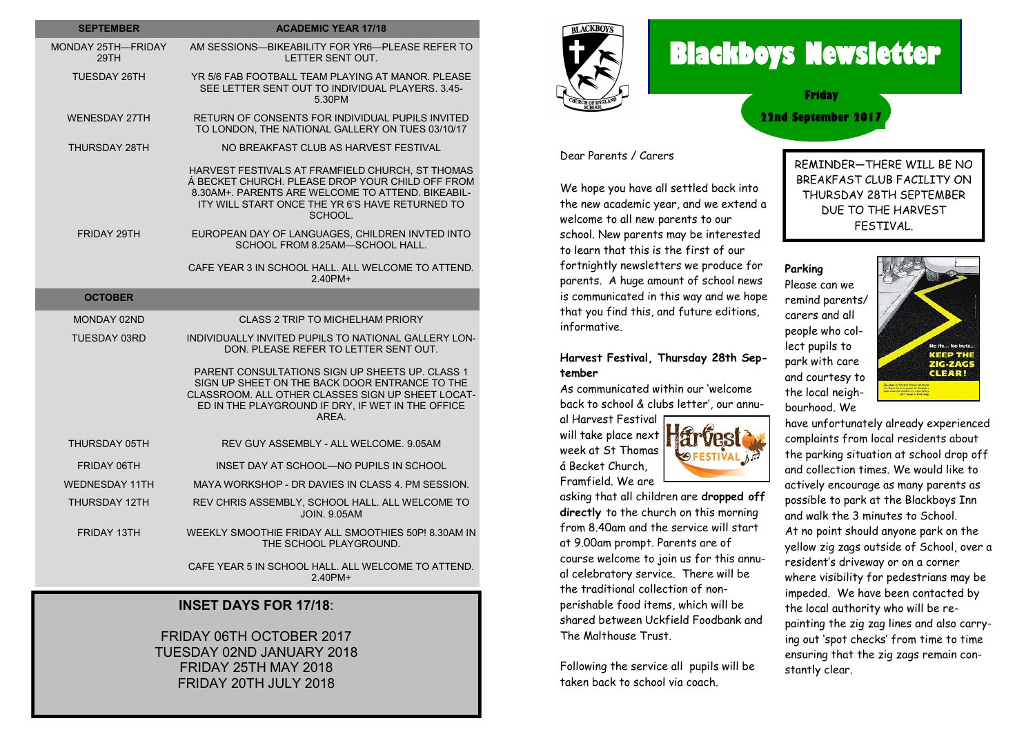| <b>SEPTEMBER</b>           | <b>ACADEMIC YEAR 17/18</b>                                                                                                                                                                                              |
|----------------------------|-------------------------------------------------------------------------------------------------------------------------------------------------------------------------------------------------------------------------|
| MONDAY 25TH-FRIDAY<br>29TH | AM SESSIONS-BIKEABILITY FOR YR6-PLEASE REFER TO<br>LETTER SENT OUT.                                                                                                                                                     |
| TUESDAY 26TH               | YR 5/6 FAB FOOTBALL TEAM PLAYING AT MANOR. PLEASE<br>SEE LETTER SENT OUT TO INDIVIDUAL PLAYERS. 3.45-<br>5.30PM                                                                                                         |
| <b>WENESDAY 27TH</b>       | RETURN OF CONSENTS FOR INDIVIDUAL PUPILS INVITED<br>TO LONDON, THE NATIONAL GALLERY ON TUES 03/10/17                                                                                                                    |
| THURSDAY 28TH              | NO BREAKFAST CLUB AS HARVEST FESTIVAL                                                                                                                                                                                   |
|                            | HARVEST FESTIVALS AT FRAMFIELD CHURCH. ST THOMAS<br>Á BECKET CHURCH. PLEASE DROP YOUR CHILD OFF FROM<br>8.30AM+, PARENTS ARE WELCOME TO ATTEND, BIKEABIL-<br>ITY WILL START ONCE THE YR 6'S HAVE RETURNED TO<br>SCHOOL. |
| FRIDAY 29TH                | EUROPEAN DAY OF LANGUAGES. CHILDREN INVTED INTO<br>SCHOOL FROM 8.25AM-SCHOOL HALL.                                                                                                                                      |
|                            | CAFE YEAR 3 IN SCHOOL HALL. ALL WELCOME TO ATTEND.<br>240PM+                                                                                                                                                            |
| <b>OCTOBER</b>             |                                                                                                                                                                                                                         |
| MONDAY 02ND                | <b>CLASS 2 TRIP TO MICHELHAM PRIORY</b>                                                                                                                                                                                 |
| <b>TUESDAY 03RD</b>        | INDIVIDUALLY INVITED PUPILS TO NATIONAL GALLERY LON-<br>DON. PLEASE REFER TO LETTER SENT OUT.                                                                                                                           |
|                            | PARENT CONSULTATIONS SIGN UP SHEETS UP. CLASS 1<br>SIGN UP SHEET ON THE BACK DOOR ENTRANCE TO THE<br>CLASSROOM. ALL OTHER CLASSES SIGN UP SHEET LOCAT-<br>ED IN THE PLAYGROUND IF DRY, IF WET IN THE OFFICE<br>AREA.    |
| THURSDAY 05TH              | REV GUY ASSEMBLY - ALL WELCOME, 9.05AM                                                                                                                                                                                  |
| <b>FRIDAY 06TH</b>         | INSET DAY AT SCHOOL—NO PUPILS IN SCHOOL                                                                                                                                                                                 |
| <b>WEDNESDAY 11TH</b>      | MAYA WORKSHOP - DR DAVIES IN CLASS 4. PM SESSION.                                                                                                                                                                       |
| THURSDAY 12TH              | REV CHRIS ASSEMBLY, SCHOOL HALL. ALL WELCOME TO<br><b>JOIN. 9.05AM</b>                                                                                                                                                  |
| FRIDAY 13TH                | WEEKLY SMOOTHIE FRIDAY ALL SMOOTHIES 50P! 8.30AM IN<br>THE SCHOOL PLAYGROUND.                                                                                                                                           |
|                            | CAFE YEAR 5 IN SCHOOL HALL. ALL WELCOME TO ATTEND.<br>2.40PM+                                                                                                                                                           |
|                            | INSET DAVS EOD $47/48$                                                                                                                                                                                                  |

#### **INSET DAYS FOR 17/18**:

## FRIDAY 06TH OCTOBER 2017 TUESDAY 02ND JANUARY 2018 FRIDAY 25TH MAY 2018 FRIDAY 20TH JULY 2018



# **Blackboys Newsletter**

**22nd September 2017 Friday**

#### Dear Parents / Carers

We hope you have all settled back into the new academic year, and we extend a welcome to all new parents to our school. New parents may be interested to learn that this is the first of our fortnightly newsletters we produce for parents. A huge amount of school news is communicated in this way and we hope that you find this, and future editions, informative.

# **Harvest Festival, Thursday 28th September**

As communicated within our 'welcome back to school & clubs letter', our annu-

al Harvest Festival will take place next week at St Thomas á Becket Church, Framfield. We are

asking that all children are **dropped off directly** to the church on this morning from 8.40am and the service will start at 9.00am prompt. Parents are of course welcome to join us for this annual celebratory service. There will be the traditional collection of nonperishable food items, which will be shared between Uckfield Foodbank and The Malthouse Trust.

Following the service all pupils will be taken back to school via coach.

REMINDER—THERE WILL BE NO BREAKFAST CLUB FACILITY ON THURSDAY 28TH SEPTEMBER DUE TO THE HARVEST FESTIVAL.

### **Parking**

Please can we remind parents/ carers and all people who collect pupils to park with care and courtesy to the local neighbourhood. We



have unfortunately already experienced complaints from local residents about the parking situation at school drop off and collection times. We would like to actively encourage as many parents as possible to park at the Blackboys Inn and walk the 3 minutes to School. At no point should anyone park on the yellow zig zags outside of School, over a resident's driveway or on a corner where visibility for pedestrians may be impeded. We have been contacted by the local authority who will be repainting the zig zag lines and also carrying out 'spot checks' from time to time ensuring that the zig zags remain constantly clear.